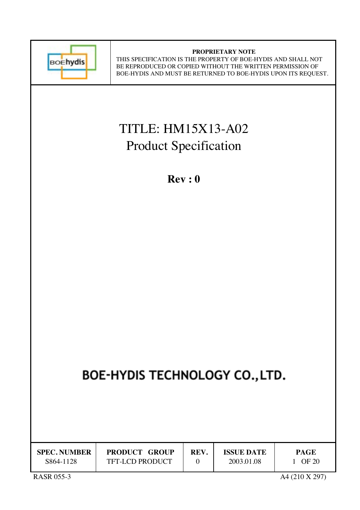

#### **PROPRIETARY NOTE** THIS SPECIFICATION IS THE PROPERTY OF BOE-HYDIS AND SHALL NOT BE REPRODUCED OR COPIED WITHOUT THE WRITTEN PERMISSION OF BOE-HYDIS AND MUST BE RETURNED TO BOE-HYDIS UPON ITS REQUEST.

# TITLE: HM15X13-A02 Product Specification

**Rev : 0**

# BOE-HYDIS TECHNOLOGY CO., LTD.

| <b>SPEC. NUMBER</b> | <b>PRODUCT GROUP</b>   | REV. | <b>ISSUE DATE</b> | <b>PAGE</b> |
|---------------------|------------------------|------|-------------------|-------------|
| S864-1128           | <b>TFT-LCD PRODUCT</b> |      | 2003.01.08        | OF 20       |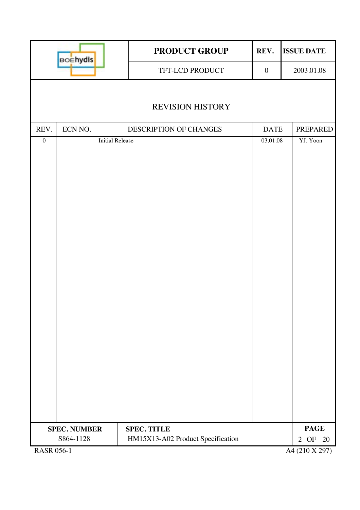| <b>BOEhydis</b>   |                     |                        | <b>PRODUCT GROUP</b><br>REV.      |                  | <b>ISSUE DATE</b> |
|-------------------|---------------------|------------------------|-----------------------------------|------------------|-------------------|
|                   |                     |                        | TFT-LCD PRODUCT                   | $\boldsymbol{0}$ | 2003.01.08        |
|                   |                     |                        |                                   |                  |                   |
|                   |                     |                        | <b>REVISION HISTORY</b>           |                  |                   |
| REV.              | ECN NO.             |                        | DESCRIPTION OF CHANGES            | <b>DATE</b>      | PREPARED          |
| $\boldsymbol{0}$  |                     | <b>Initial Release</b> |                                   | 03.01.08         | YJ. Yoon          |
|                   |                     |                        |                                   |                  |                   |
|                   | <b>SPEC. NUMBER</b> |                        | <b>SPEC. TITLE</b>                |                  | <b>PAGE</b>       |
|                   | S864-1128           |                        | HM15X13-A02 Product Specification |                  | 2 OF<br>20        |
| <b>RASR 056-1</b> |                     |                        |                                   |                  | A4 (210 X 297)    |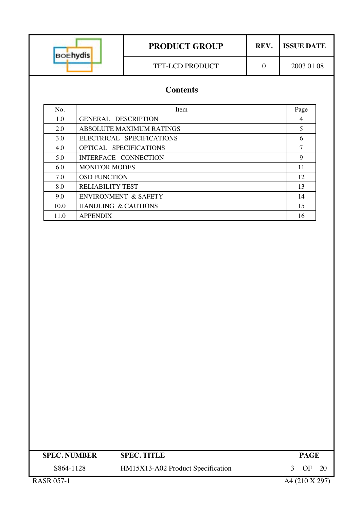| <b>BOEhydis</b> |                                 | <b>PRODUCT GROUP</b> |          | <b>ISSUE DATE</b> |  |  |
|-----------------|---------------------------------|----------------------|----------|-------------------|--|--|
|                 |                                 | TFT-LCD PRODUCT      | $\theta$ | 2003.01.08        |  |  |
|                 | <b>Contents</b>                 |                      |          |                   |  |  |
| No.             | Item                            |                      |          |                   |  |  |
| 1.0             | <b>GENERAL DESCRIPTION</b>      | $\overline{4}$       |          |                   |  |  |
| 2.0             | <b>ABSOLUTE MAXIMUM RATINGS</b> | 5                    |          |                   |  |  |
| 3.0             | ELECTRICAL SPECIFICATIONS       |                      |          | 6                 |  |  |
| 4.0             | OPTICAL SPECIFICATIONS          |                      |          | 7                 |  |  |
| 5.0             | INTERFACE CONNECTION            |                      |          | 9                 |  |  |
| 6.0             | <b>MONITOR MODES</b>            |                      |          | 11                |  |  |
| 7.0             | <b>OSD FUNCTION</b>             |                      |          | 12                |  |  |
| 8.0             | <b>RELIABILITY TEST</b>         |                      |          | 13                |  |  |
| 9.0             | <b>ENVIRONMENT &amp; SAFETY</b> |                      |          | 14                |  |  |
| 10.0            | HANDLING & CAUTIONS             | 15                   |          |                   |  |  |
| 11.0            | <b>APPENDIX</b>                 |                      |          | 16                |  |  |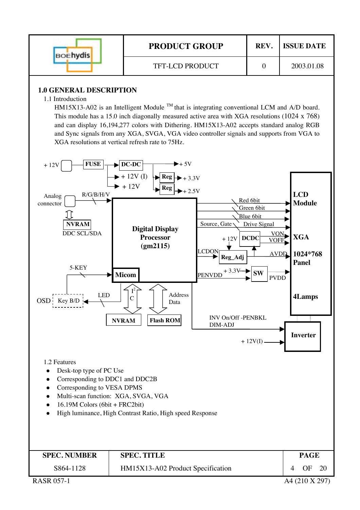| <b>BOEhydis</b> | <b>PRODUCT GROUP</b> | REV. | <b>ISSUE DATE</b> |
|-----------------|----------------------|------|-------------------|
|                 | TFT-LCD PRODUCT      |      | 2003.01.08        |

### **1.0 GENERAL DESCRIPTION**

1.1 Introduction

HM15X13-A02 is an Intelligent Module  $^{TM}$  that is integrating conventional LCM and A/D board. This module has a 15.0 inch diagonally measured active area with XGA resolutions (1024 x 768) and can display 16,194,277 colors with Dithering. HM15X13-A02 accepts standard analog RGB and Sync signals from any XGA, SVGA, VGA video controller signals and supports from VGA to XGA resolutions at vertical refresh rate to 75Hz.



RASR 057-1 A4 (210 X 297)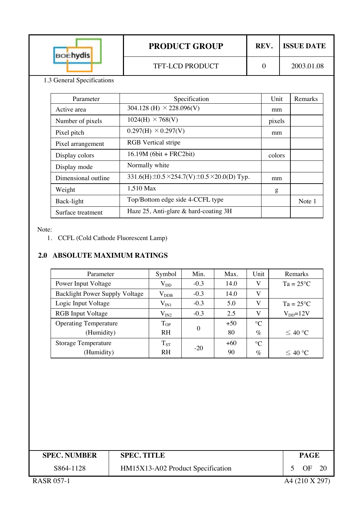|                            | <b>BOEhydis</b>            | <b>PRODUCT GROUP</b> | REV. | <b>ISSUE DATE</b> |  |  |
|----------------------------|----------------------------|----------------------|------|-------------------|--|--|
|                            |                            | TFT-LCD PRODUCT      |      | 2003.01.08        |  |  |
|                            | 1.3 General Specifications |                      |      |                   |  |  |
| Specification<br>Parameter |                            |                      |      | Unit<br>Remarks   |  |  |

| Active area         | 304.128 (H) $\times$ 228.096(V)                      | mm     |        |
|---------------------|------------------------------------------------------|--------|--------|
| Number of pixels    | $1024(H) \times 768(V)$                              | pixels |        |
| Pixel pitch         | $0.297(H) \times 0.297(V)$                           | mm     |        |
| Pixel arrangement   | <b>RGB</b> Vertical stripe                           |        |        |
| Display colors      | $16.19M$ (6bit + FRC2bit)                            | colors |        |
| Display mode        | Normally white                                       |        |        |
| Dimensional outline | 331.6(H) $\pm$ 0.5 ×254.7(V) $\pm$ 0.5 ×20.0(D) Typ. | mm     |        |
| Weight              | 1,510 Max                                            | g      |        |
| Back-light          | Top/Bottom edge side 4-CCFL type                     |        | Note 1 |
| Surface treatment   | Haze $25$ , Anti-glare & hard-coating $3H$           |        |        |

Note:

1. CCFL (Cold Cathode Fluorescent Lamp)

## **2.0 ABSOLUTE MAXIMUM RATINGS**

| Parameter                             | Symbol        | Min.     | Max.  | Unit            | Remarks            |
|---------------------------------------|---------------|----------|-------|-----------------|--------------------|
| Power Input Voltage                   | $\rm V_{DD}$  | $-0.3$   | 14.0  | V               | $Ta = 25^{\circ}C$ |
| <b>Backlight Power Supply Voltage</b> | $\rm V_{DDB}$ | $-0.3$   | 14.0  | V               |                    |
| Logic Input Voltage                   | $\rm V_{IN1}$ | $-0.3$   | 5.0   | V               | $Ta = 25^{\circ}C$ |
| <b>RGB</b> Input Voltage              | $\rm V_{IN2}$ | $-0.3$   | 2.5   | V               | $V_{DD} = 12V$     |
| <b>Operating Temperature</b>          | $T_{OP}$      |          | $+50$ | $\Gamma$        |                    |
| (Humidity)                            | <b>RH</b>     | $\theta$ | 80    | $\%$            | ≤ 40 °C            |
| <b>Storage Temperature</b>            | $T_{ST}$      |          | $+60$ | $\rm ^{\circ}C$ |                    |
| (Humidity)                            | <b>RH</b>     | $-20$    | 90    | $\%$            | $\leq 40$ °C       |

| <b>SPEC. NUMBER</b> | <b>SPEC. TITLE</b>                |  | <b>PAGE</b>    |      |  |
|---------------------|-----------------------------------|--|----------------|------|--|
| S864-1128           | HM15X13-A02 Product Specification |  | OF             | - 20 |  |
| <b>RASR 057-1</b>   |                                   |  | A4 (210 X 297) |      |  |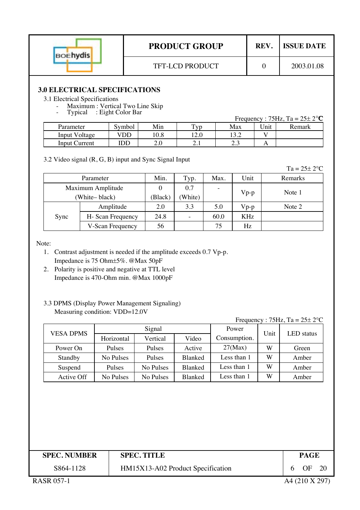| <b>BOEhydis</b> |
|-----------------|
|                 |

# **3.0 ELECTRICAL SPECIFICATIONS**

#### 3.1 Electrical Specifications

- Maximum : Vertical Two Line Skip Typical : Eight Color Bar
- 

| 1, prout      | $\cdot$ Light Color Dur |         |                 |       |             | Frequency : 75Hz, Ta = $25\pm 2^{\circ}$ C |
|---------------|-------------------------|---------|-----------------|-------|-------------|--------------------------------------------|
| Parameter     | Symbol                  | Min     | T <sub>VD</sub> | Max   | <b>Jnit</b> | Remark                                     |
| Input Voltage | VDD                     | 10.8    | 12.0            | 13.2  |             |                                            |
| Input Current | IDD                     | $2.0\,$ | $\mathcal{L}$   | ن د ک |             |                                            |

3.2 Video signal (R, G, B) input and Sync Signal Input

| н. | $\epsilon$ | ാ∘∩ |
|----|------------|-----|
|    |            |     |

| Parameter         |                   | Min.    | Typ.    | Max.                     | Unit   | Remarks |
|-------------------|-------------------|---------|---------|--------------------------|--------|---------|
| Maximum Amplitude |                   |         | 0.7     | $\overline{\phantom{a}}$ | $Vp-p$ | Note 1  |
| White-black)      |                   | (Black) | (White) |                          |        |         |
|                   | Amplitude         | 2.0     | 3.3     | 5.0                      | $Vp-p$ | Note 2  |
| Sync              | H- Scan Frequency | 24.8    |         | 60.0                     | KHz    |         |
|                   | V-Scan Frequency  | 56      |         | 75                       | Hz     |         |

Note:

- 1. Contrast adjustment is needed if the amplitude exceeds 0.7 Vp-p. Impedance is 75 Ohm±5%. @Max 50pF
- 2. Polarity is positive and negative at TTL level Impedance is 470-Ohm min. @Max 1000pF

#### 3.3 DPMS (Display Power Management Signaling) Measuring condition: VDD=12.0V

#### Frequency :  $75\text{Hz}$ , Ta =  $25\pm 2^{\circ}\text{C}$

| <b>VESA DPMS</b> |               | Signal    |                | Power        | Unit | LED status |  |
|------------------|---------------|-----------|----------------|--------------|------|------------|--|
|                  | Horizontal    | Vertical  | Video          | Consumption. |      |            |  |
| Power On         | <b>Pulses</b> | Pulses    | Active         | $27$ (Max)   | W    | Green      |  |
| Standby          | No Pulses     | Pulses    | Blanked        | Less than 1  | W    | Amber      |  |
| Suspend          | Pulses        | No Pulses | Blanked        | Less than 1  | W    | Amber      |  |
| Active Off       | No Pulses     | No Pulses | <b>Blanked</b> | Less than 1  | W    | Amber      |  |

| <b>SPEC. NUMBER</b> | <b>SPEC. TITLE</b>                | <b>PAGE</b>    |  |
|---------------------|-----------------------------------|----------------|--|
| S864-1128           | HM15X13-A02 Product Specification | 6 OF 20        |  |
| <b>RASR 057-1</b>   |                                   | A4 (210 X 297) |  |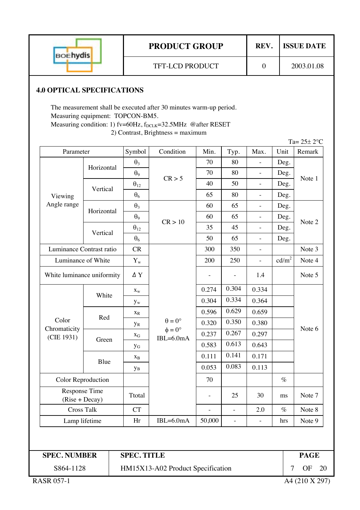| <b>BOEhydis</b> | <b>PRODUCT GROUP</b>   | REV. | <b>ISSUE DATE</b> |  |
|-----------------|------------------------|------|-------------------|--|
|                 | <b>TFT-LCD PRODUCT</b> |      | 2003.01.08        |  |

## **4.0 OPTICAL SPECIFICATIONS**

The measurement shall be executed after 30 minutes warm-up period. Measuring equipment: TOPCON-BM5. Measuring condition: 1) fv=60Hz, f<sub>DCLK</sub>=32.5MHz @after RESET 2) Contrast, Brightness = maximum

|                                   |                            |                       |                                   |        |                |                          |                   | Ta= $25±2$ °C |
|-----------------------------------|----------------------------|-----------------------|-----------------------------------|--------|----------------|--------------------------|-------------------|---------------|
| Parameter                         |                            | Symbol                | Condition                         | Min.   | Typ.           | Max.                     | Unit              | Remark        |
| Viewing<br>Angle range            | Horizontal                 | $\theta_3$            |                                   | 70     | 80             |                          | Deg.              |               |
|                                   |                            | $\theta$ <sup>9</sup> | CR > 5                            | 70     | 80             | $\overline{a}$           | Deg.              | Note 1        |
|                                   | Vertical                   | $\theta_{12}$         |                                   | 40     | 50             | $\frac{1}{2}$            | Deg.              |               |
|                                   |                            | $\theta_6$            |                                   | 65     | 80             | $\frac{1}{2}$            | Deg.              |               |
|                                   | Horizontal                 | $\theta_3$            |                                   | 60     | 65             | $\overline{a}$           | Deg.              |               |
|                                   |                            | $\theta$ <sup>9</sup> | CR > 10                           | 60     | 65             | $\overline{a}$           | Deg.              | Note 2        |
|                                   | Vertical                   | $\theta_{12}$         |                                   | 35     | 45             | $\frac{1}{2}$            | Deg.              |               |
|                                   |                            | $\theta_6$            |                                   | 50     | 65             | $\frac{1}{2}$            | Deg.              |               |
| Luminance Contrast ratio          |                            | CR                    |                                   | 300    | 350            | $\qquad \qquad -$        |                   | Note 3        |
| Luminance of White                |                            | $Y_{w}$               |                                   | 200    | 250            | $\frac{1}{2}$            | cd/m <sup>2</sup> | Note 4        |
|                                   | White luminance uniformity |                       |                                   |        |                | 1.4                      |                   | Note 5        |
|                                   | White                      | $X_{W}$               |                                   | 0.274  | 0.304          | 0.334                    |                   | Note 6        |
|                                   |                            | $y_w$                 |                                   | 0.304  | 0.334          | 0.364                    |                   |               |
|                                   |                            | $X_R$                 |                                   | 0.596  | 0.629          | 0.659                    |                   |               |
| Color                             | Red                        | <b>y</b> <sub>R</sub> | $\theta = 0^{\circ}$              | 0.320  | 0.350          | 0.380                    |                   |               |
| Chromaticity<br>(CIE 1931)        |                            | $X_G$                 | $\phi = 0^{\circ}$<br>$IBL=6.0mA$ | 0.237  | 0.267          | 0.297                    |                   |               |
|                                   | Green                      | УG                    |                                   | 0.583  | 0.613          | 0.643                    |                   |               |
|                                   |                            | $X_B$                 |                                   | 0.111  | 0.141          | 0.171                    |                   |               |
|                                   | Blue                       | yв                    |                                   | 0.053  | 0.083          | 0.113                    |                   |               |
| Color Reproduction                |                            |                       |                                   | 70     |                |                          | $\%$              |               |
| Response Time<br>$(Rise + Decay)$ |                            | Ttotal                |                                   |        | 25             | 30                       | ms                | Note 7        |
|                                   | <b>Cross Talk</b>          |                       |                                   |        | $\overline{a}$ | 2.0                      | $\%$              | Note 8        |
| Lamp lifetime                     |                            | Hr                    | $IBL=6.0mA$                       | 50,000 | $\overline{a}$ | $\overline{\phantom{a}}$ | hrs               | Note 9        |

**SPEC. NUMBER PAGE** S864-1128

**SPEC. TITLE**

HM15X13-A02 Product Specification 7 OF 20

RASR 057-1 A4 (210 X 297)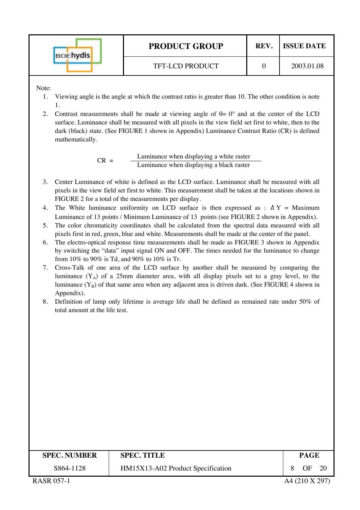| <b>BOEhydis</b> | <b>PRODUCT GROUP</b> | REV. | <b>ISSUE DATE</b> |
|-----------------|----------------------|------|-------------------|
|                 | TFT-LCD PRODUCT      |      | 2003.01.08        |

Note:

- 1. Viewing angle is the angle at which the contrast ratio is greater than 10. The other condition is note 1.
- 2. Contrast measurements shall be made at viewing angle of  $\theta = 0^{\circ}$  and at the center of the LCD surface. Luminance shall be measured with all pixels in the view field set first to white, then to the dark (black) state. (See FIGURE 1 shown in Appendix) Luminance Contrast Ratio (CR) is defined mathematically.

 $CR =$  Luminance when displaying a white raster<br>Luminance when displaying a black raster

- 3. Center Luminance of white is defined as the LCD surface. Luminance shall be measured with all pixels in the view field set first to white. This measurement shall be taken at the locations shown in FIGURE 2 for a total of the measurements per display.
- 4. The White luminance uniformity on LCD surface is then expressed as :  $\Delta Y =$  Maximum Luminance of 13 points / Minimum Luminance of 13 points (see FIGURE 2 shown in Appendix).
- 5. The color chromaticity coordinates shall be calculated from the spectral data measured with all pixels first in red, green, blue and white. Measurements shall be made at the center of the panel.
- 6. The electro-optical response time measurements shall be made as FIGURE 3 shown in Appendix by switching the "data" input signal ON and OFF. The times needed for the luminance to change from 10% to 90% is Td, and 90% to 10% is Tr.
- 7. Cross-Talk of one area of the LCD surface by another shall be measured by comparing the luminance  $(Y_A)$  of a 25mm diameter area, with all display pixels set to a gray level, to the luminance  $(Y_B)$  of that same area when any adjacent area is driven dark. (See FIGURE 4 shown in Appendix).
- 8. Definition of lamp only lifetime is average life shall be defined as remained rate under 50% of total amount at the life test.

| <b>SPEC. NUMBER</b> | <b>SPEC. TITLE</b>                | PAGE |     |
|---------------------|-----------------------------------|------|-----|
| S864-1128           | HM15X13-A02 Product Specification | ΩE   | -20 |
|                     |                                   |      |     |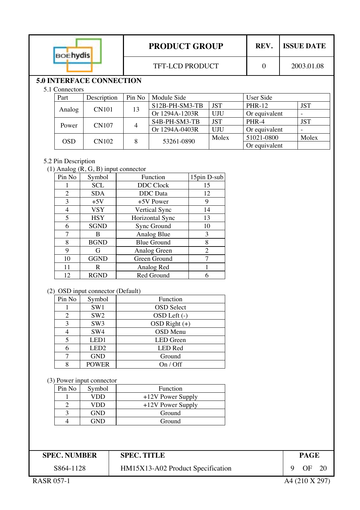|  | <b>BOEhydis</b> |                                 |                        | <b>PRODUCT GROUP</b> | REV.       | <b>ISSUE DATE</b> |            |  |
|--|-----------------|---------------------------------|------------------------|----------------------|------------|-------------------|------------|--|
|  |                 |                                 | <b>TFT-LCD PRODUCT</b> | 0                    | 2003.01.08 |                   |            |  |
|  |                 | <b>5.0 INTERFACE CONNECTION</b> |                        |                      |            |                   |            |  |
|  | 5.1 Connectors  |                                 |                        |                      |            |                   |            |  |
|  | Part            | Description                     | Pin No                 | Module Side          |            | User Side         |            |  |
|  |                 | <b>CN101</b>                    |                        | S12B-PH-SM3-TB       | <b>JST</b> | <b>PHR-12</b>     | <b>JST</b> |  |
|  | Analog          |                                 | 13                     | Or 1294A-1203R       | UJU        | Or equivalent     | -          |  |
|  |                 |                                 |                        | S4B-PH-SM3-TB        | <b>JST</b> | PHR-4             | <b>JST</b> |  |
|  | Power           | <b>CN107</b>                    | 4                      | Or 1294A-0403R       | UJU        | Or equivalent     | -          |  |
|  | <b>OSD</b>      |                                 | 8                      | 53261-0890           | Molex      | 51021-0800        | Molex      |  |
|  |                 | <b>CN102</b>                    |                        |                      |            | Or equivalent     |            |  |

#### 5.2 Pin Description

(1) Analog  $(R, G, B)$  input connector

| Pin No | Symbol      | Function           | 15pin D-sub |
|--------|-------------|--------------------|-------------|
| 1      | <b>SCL</b>  | <b>DDC</b> Clock   | 15          |
| 2      | <b>SDA</b>  | <b>DDC</b> Data    | 12          |
| 3      | $+5V$       | +5V Power          | 9           |
| 4      | <b>VSY</b>  | Vertical Sync      | 14          |
| 5      | <b>HSY</b>  | Horizontal Sync    | 13          |
| 6      | <b>SGND</b> | Sync Ground        | 10          |
| 7      | B           | Analog Blue        | 3           |
| 8      | <b>BGND</b> | <b>Blue Ground</b> | 8           |
| 9      | G           | Analog Green       | 2           |
| 10     | <b>GGND</b> | Green Ground       |             |
| 11     | R           | Analog Red         |             |
| 12     | RGND        | Red Ground         |             |

#### (2) OSD input connector (Default)

| Pin No         | Symbol           | <b>Function</b>   |
|----------------|------------------|-------------------|
|                | SW1              | <b>OSD</b> Select |
| 2              | SW <sub>2</sub>  | OSD Left (-)      |
| 3              | SW <sub>3</sub>  | $OSD$ Right $(+)$ |
|                | SW4              | <b>OSD</b> Menu   |
| $\overline{5}$ | LED1             | <b>LED</b> Green  |
| 6              | LED <sub>2</sub> | <b>LED</b> Red    |
|                | <b>GND</b>       | Ground            |
| Ջ              | <b>POWER</b>     | On / Off          |

(3) Power input connector

| Pin No | Symbol     | Function            |
|--------|------------|---------------------|
|        | VDD        | $+12V$ Power Supply |
|        | VDD        | $+12V$ Power Supply |
|        | <b>GND</b> | Ground              |
|        | 7ND        | Ground              |

**SPEC. NUMBER SPEC. TITLE** PAGE

# **SPEC. TITLE**

S864-1128

HM15X13-A02 Product Specification 9 OF 20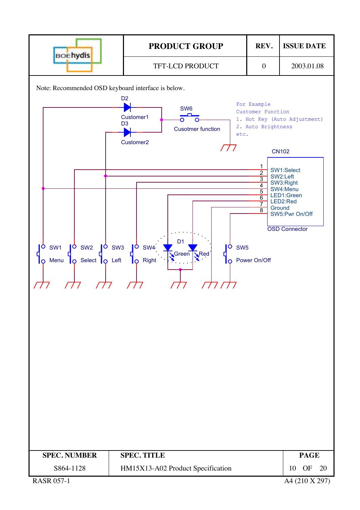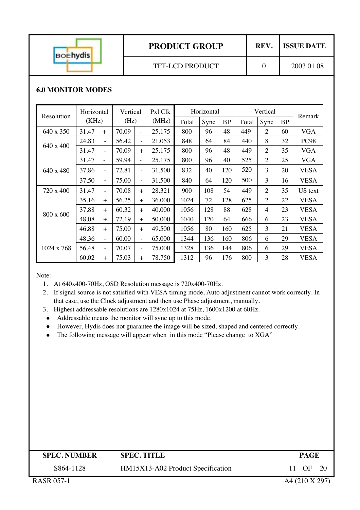| <b>BOEhydis</b> | <b>PRODUCT GROUP</b>   | REV. | <b>ISSUE DATE</b> |  |
|-----------------|------------------------|------|-------------------|--|
|                 | <b>TFT-LCD PRODUCT</b> |      | 2003.01.08        |  |

## **6.0 MONITOR MODES**

| Resolution       | Horizontal |                          | Vertical |                          | Pxl Clk | Horizontal |      | Vertical  |       |                | Remark    |             |
|------------------|------------|--------------------------|----------|--------------------------|---------|------------|------|-----------|-------|----------------|-----------|-------------|
|                  | (KHz)      |                          | (Hz)     |                          | (MHz)   | Total      | Sync | <b>BP</b> | Total | Sync           | <b>BP</b> |             |
| 640 x 350        | 31.47      | $+$                      | 70.09    | $\overline{\phantom{a}}$ | 25.175  | 800        | 96   | 48        | 449   | $\overline{2}$ | 60        | <b>VGA</b>  |
|                  | 24.83      | $\equiv$                 | 56.42    | $\overline{\phantom{0}}$ | 21.053  | 848        | 64   | 84        | 440   | 8              | 32        | <b>PC98</b> |
| $640 \times 400$ | 31.47      | $\overline{\phantom{a}}$ | 70.09    | $+$                      | 25.175  | 800        | 96   | 48        | 449   | $\overline{2}$ | 35        | <b>VGA</b>  |
|                  | 31.47      | $\bar{a}$                | 59.94    | ÷,                       | 25.175  | 800        | 96   | 40        | 525   | 2              | 25        | <b>VGA</b>  |
| 640 x 480        | 37.86      | $\overline{\phantom{a}}$ | 72.81    | $\overline{\phantom{a}}$ | 31.500  | 832        | 40   | 120       | 520   | 3              | 20        | <b>VESA</b> |
|                  | 37.50      | $\overline{\phantom{a}}$ | 75.00    | $\overline{\phantom{a}}$ | 31.500  | 840        | 64   | 120       | 500   | 3              | 16        | <b>VESA</b> |
| 720 x 400        | 31.47      | $\overline{\phantom{0}}$ | 70.08    | $+$                      | 28.321  | 900        | 108  | 54        | 449   | $\overline{2}$ | 35        | US text     |
|                  | 35.16      | $+$                      | 56.25    | $+$                      | 36.000  | 1024       | 72   | 128       | 625   | $\overline{2}$ | 22        | <b>VESA</b> |
|                  | 37.88      | $+$                      | 60.32    | $+$                      | 40.000  | 1056       | 128  | 88        | 628   | 4              | 23        | <b>VESA</b> |
| 800 x 600        | 48.08      | $+$                      | 72.19    | $+$                      | 50.000  | 1040       | 120  | 64        | 666   | 6              | 23        | <b>VESA</b> |
|                  | 46.88      | $+$                      | 75.00    | $+$                      | 49.500  | 1056       | 80   | 160       | 625   | 3              | 21        | <b>VESA</b> |
| 1024 x 768       | 48.36      | $\overline{\phantom{a}}$ | 60.00    | $\overline{\phantom{a}}$ | 65.000  | 1344       | 136  | 160       | 806   | 6              | 29        | <b>VESA</b> |
|                  | 56.48      | ÷                        | 70.07    | $\overline{\phantom{a}}$ | 75.000  | 1328       | 136  | 144       | 806   | 6              | 29        | <b>VESA</b> |
|                  | 60.02      | $+$                      | 75.03    | $+$                      | 78.750  | 1312       | 96   | 176       | 800   | 3              | 28        | <b>VESA</b> |

Note:

1. At 640x400-70Hz, OSD Resolution message is 720x400-70Hz.

2. If signal source is not satisfied with VESA timing mode, Auto adjustment cannot work correctly. In that case, use the Clock adjustment and then use Phase adjustment, manually.

- 3. Highest addressable resolutions are 1280x1024 at 75Hz, 1600x1200 at 60Hz.
- Addressable means the monitor will sync up to this mode.
- $\bullet$  However, Hydis does not guarantee the image will be sized, shaped and centered correctly.
- The following message will appear when in this mode "Please change to XGA"

| <b>SPEC. NUMBER</b> | <b>SPEC. TITLE</b>                | PAGE      |
|---------------------|-----------------------------------|-----------|
| S864-1128           | HM15X13-A02 Product Specification | OF<br>-20 |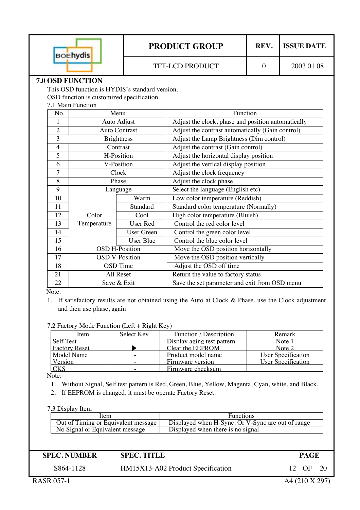| ıvdis<br>BOE            |                                                | <b>PRODUCT GROUP</b> |  | <b>ISSUE DATE</b> |  |  |  |
|-------------------------|------------------------------------------------|----------------------|--|-------------------|--|--|--|
|                         | TFT-LCD PRODUCT                                |                      |  | 2003.01.08        |  |  |  |
| <b>7.0 OSD FUNCTION</b> |                                                |                      |  |                   |  |  |  |
|                         | This OSD function is HYDIS's standard version. |                      |  |                   |  |  |  |
|                         | OSD function is customized specification.      |                      |  |                   |  |  |  |
| 7.1 Main Function       |                                                |                      |  |                   |  |  |  |
| Function<br>Menu<br>No. |                                                |                      |  |                   |  |  |  |

| 110.           | www                   |                       |                                                    |
|----------------|-----------------------|-----------------------|----------------------------------------------------|
|                | Auto Adjust           |                       | Adjust the clock, phase and position automatically |
| $\overline{2}$ | <b>Auto Contrast</b>  |                       | Adjust the contrast automatically (Gain control)   |
| 3              |                       | <b>Brightness</b>     | Adjust the Lamp Brightness (Dim control)           |
| $\overline{4}$ |                       | Contrast              | Adjust the contrast (Gain control)                 |
| 5              |                       | H-Position            | Adjust the horizontal display position             |
| 6              |                       | V-Position            | Adjust the vertical display position               |
| 7              |                       | Clock                 | Adjust the clock frequency                         |
| 8              |                       | Phase                 | Adjust the clock phase                             |
| 9              |                       | Language              | Select the language (English etc)                  |
| 10             |                       | Warm                  | Low color temperature (Reddish)                    |
| 11             |                       | Standard              | Standard color temperature (Normally)              |
| 12             | Color                 | Cool                  | High color temperature (Bluish)                    |
| 13             | Temperature           | User Red              | Control the red color level                        |
| 14             |                       | <b>User Green</b>     | Control the green color level                      |
| 15             |                       | <b>User Blue</b>      | Control the blue color level                       |
| 16             |                       | <b>OSD H-Position</b> | Move the OSD position horizontally                 |
| 17             | <b>OSD V-Position</b> |                       | Move the OSD position vertically                   |
| 18             | <b>OSD</b> Time       |                       | Adjust the OSD off time                            |
| 21             |                       | All Reset             | Return the value to factory status                 |
| 22             | Save & Exit           |                       | Save the set parameter and exit from OSD menu      |

Note:

1. If satisfactory results are not obtained using the Auto at Clock & Phase, use the Clock adjustment and then use phase, again

#### 7.2 Factory Mode Function (Left + Right Key)

| Item                 | Select Key               | Function / Description     | Remark             |
|----------------------|--------------------------|----------------------------|--------------------|
| <b>Self Test</b>     |                          | Display aging test pattern | Note 1             |
| <b>Factory Reset</b> |                          | Clear the EEPROM           | Note 2             |
| Model Name           |                          | Product model name         | User Specification |
| Version              |                          | Firmware version           | User Specification |
| <b>CKS</b>           | $\overline{\phantom{0}}$ | Firmware checksum          |                    |

Note:

- 1. Without Signal, Self test pattern is Red, Green, Blue, Yellow, Magenta, Cyan, white, and Black.
- 2. If EEPROM is changed, it must be operate Factory Reset.

7.3 Display Item

| Item                                | <b>Functions</b>                                  |  |  |
|-------------------------------------|---------------------------------------------------|--|--|
| Out of Timing or Equivalent message | Displayed when H-Sync. Or V-Sync are out of range |  |  |
| No Signal or Equivalent message     | Displayed when there is no signal                 |  |  |

| <b>SPEC. NUMBER</b> | <b>SPEC. TITLE</b>                | <b>PAGE</b>   |
|---------------------|-----------------------------------|---------------|
| S864-1128           | HM15X13-A02 Product Specification | - 20<br>12 OF |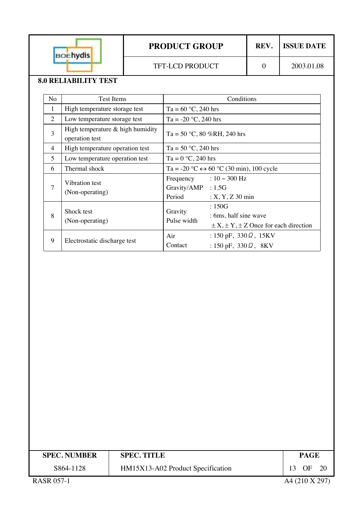

# **PRODUCT GROUP** REV. ISSUE DATE

# **8.0 RELIABILITY TEST**

| N <sub>o</sub> | <b>Test Items</b>                                    | Conditions                                                                                                |
|----------------|------------------------------------------------------|-----------------------------------------------------------------------------------------------------------|
| 1              | High temperature storage test                        | Ta = $60 °C$ , 240 hrs                                                                                    |
| 2              | Low temperature storage test                         | Ta = $-20$ °C, 240 hrs                                                                                    |
| 3              | High temperature $&$ high humidity<br>operation test | Ta = 50 °C, 80 %RH, 240 hrs                                                                               |
| $\overline{4}$ | High temperature operation test                      | Ta = $50 °C$ , 240 hrs                                                                                    |
| 5              | Low temperature operation test                       | Ta = $0 °C$ , 240 hrs                                                                                     |
| 6              | Thermal shock                                        | Ta = -20 °C $\leftrightarrow$ 60 °C (30 min), 100 cycle                                                   |
| $\overline{7}$ | Vibration test<br>(Non-operating)                    | Frequency : $10 \sim 300$ Hz<br>Gravity/AMP : 1.5G<br>Period<br>$: X, Y, Z$ 30 min                        |
| 8              | Shock test<br>(Non-operating)                        | :150G<br>Gravity<br>: 6ms, half sine wave<br>Pulse width<br>$\pm X, \pm Y, \pm Z$ Once for each direction |
| 9              | Electrostatic discharge test                         | : 150 pF, $330 \Omega$ , 15KV<br>Air<br>: 150 pF, 330 $\Omega$ , 8KV<br>Contact                           |

| <b>SPEC. NUMBER</b> | <b>SPEC. TITLE</b>                | <b>PAGE</b>     |
|---------------------|-----------------------------------|-----------------|
| S864-1128           | HM15X13-A02 Product Specification | 13<br>OF<br>-20 |
| <b>RASR 057-1</b>   |                                   | A4 (210 X 297)  |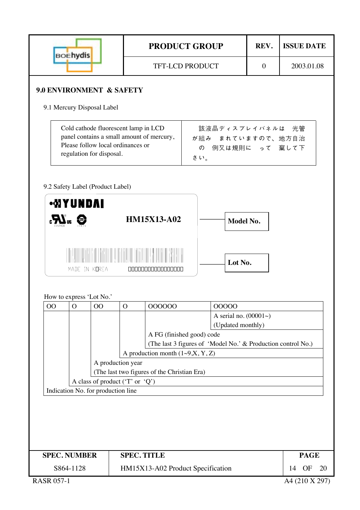|                     | <b>BOEhydis</b>                         |                                                                                                                                                    |                    | <b>PRODUCT GROUP</b>                        |     |                                                              | REV.         | <b>ISSUE DATE</b> |
|---------------------|-----------------------------------------|----------------------------------------------------------------------------------------------------------------------------------------------------|--------------------|---------------------------------------------|-----|--------------------------------------------------------------|--------------|-------------------|
|                     |                                         |                                                                                                                                                    |                    | <b>TFT-LCD PRODUCT</b>                      |     |                                                              | $\mathbf{0}$ | 2003.01.08        |
|                     |                                         | 9.0 ENVIRONMENT & SAFETY                                                                                                                           |                    |                                             |     |                                                              |              |                   |
|                     |                                         | 9.1 Mercury Disposal Label                                                                                                                         |                    |                                             |     |                                                              |              |                   |
|                     |                                         | Cold cathode fluorescent lamp in LCD<br>panel contains a small amount of mercury,<br>Please follow local ordinances or<br>regulation for disposal. |                    |                                             | さい。 | 該液晶ディスプレイパネルは 光管<br>が組み まれていますので、地方自治<br>の 例又は規則に って 棄して下    |              |                   |
|                     |                                         | 9.2 Safety Label (Product Label)                                                                                                                   |                    |                                             |     |                                                              |              |                   |
|                     | <b>MYUNDAI</b><br>$\sum_{n=1}^{\infty}$ |                                                                                                                                                    |                    | <b>HM15X13-A02</b>                          |     | Model No.                                                    |              |                   |
|                     |                                         | MADE IN KOREA                                                                                                                                      |                    |                                             |     | Lot No.                                                      |              |                   |
|                     |                                         | How to express 'Lot No.'                                                                                                                           |                    |                                             |     |                                                              |              |                   |
| OO                  | $\overline{O}$                          | O <sub>O</sub>                                                                                                                                     | $\mathcal{O}$      | 000000                                      |     | 00000                                                        |              |                   |
|                     |                                         |                                                                                                                                                    |                    |                                             |     | A serial no. $(00001\sim)$                                   |              |                   |
|                     |                                         |                                                                                                                                                    |                    | A FG (finished good) code                   |     | (Updated monthly)                                            |              |                   |
|                     |                                         |                                                                                                                                                    |                    |                                             |     | (The last 3 figures of 'Model No.' & Production control No.) |              |                   |
|                     |                                         |                                                                                                                                                    |                    | A production month $(1\sim 9, X, Y, Z)$     |     |                                                              |              |                   |
|                     |                                         | A production year                                                                                                                                  |                    |                                             |     |                                                              |              |                   |
|                     |                                         | A class of product ('T' or 'Q')                                                                                                                    |                    | (The last two figures of the Christian Era) |     |                                                              |              |                   |
|                     |                                         | Indication No. for production line                                                                                                                 |                    |                                             |     |                                                              |              |                   |
|                     |                                         |                                                                                                                                                    |                    |                                             |     |                                                              |              |                   |
|                     |                                         |                                                                                                                                                    |                    |                                             |     |                                                              |              |                   |
|                     |                                         |                                                                                                                                                    |                    |                                             |     |                                                              |              |                   |
|                     |                                         |                                                                                                                                                    |                    |                                             |     |                                                              |              |                   |
| <b>SPEC. NUMBER</b> |                                         |                                                                                                                                                    | <b>SPEC. TITLE</b> |                                             |     |                                                              |              | <b>PAGE</b>       |
|                     | S864-1128                               |                                                                                                                                                    |                    | HM15X13-A02 Product Specification           |     |                                                              |              | OF<br>14<br>20    |
| <b>RASR 057-1</b>   |                                         |                                                                                                                                                    |                    |                                             |     |                                                              |              | A4 (210 X 297)    |

Τ

Г

Τ

۰

-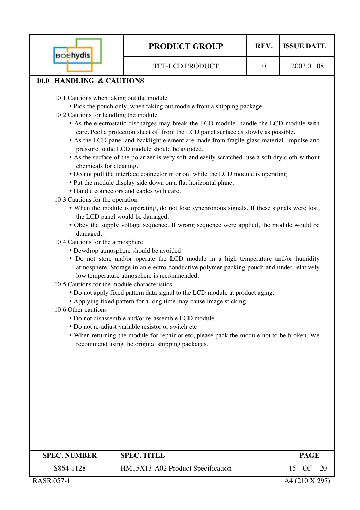| <b>BOEhydis</b>                                                                                                                                                                                                                                                                                           | <b>PRODUCT GROUP</b>                                                                                                                                                                                                                                                                                                                                                                                                                                                                                                                                                                                                                                                                                                                                                                                                                                                                                                                                                                                                                                                                                                                                                                                                                                                                                                                                                                                                                                                                                                                                                                                       | REV.             | <b>ISSUE DATE</b> |
|-----------------------------------------------------------------------------------------------------------------------------------------------------------------------------------------------------------------------------------------------------------------------------------------------------------|------------------------------------------------------------------------------------------------------------------------------------------------------------------------------------------------------------------------------------------------------------------------------------------------------------------------------------------------------------------------------------------------------------------------------------------------------------------------------------------------------------------------------------------------------------------------------------------------------------------------------------------------------------------------------------------------------------------------------------------------------------------------------------------------------------------------------------------------------------------------------------------------------------------------------------------------------------------------------------------------------------------------------------------------------------------------------------------------------------------------------------------------------------------------------------------------------------------------------------------------------------------------------------------------------------------------------------------------------------------------------------------------------------------------------------------------------------------------------------------------------------------------------------------------------------------------------------------------------------|------------------|-------------------|
|                                                                                                                                                                                                                                                                                                           | TFT-LCD PRODUCT                                                                                                                                                                                                                                                                                                                                                                                                                                                                                                                                                                                                                                                                                                                                                                                                                                                                                                                                                                                                                                                                                                                                                                                                                                                                                                                                                                                                                                                                                                                                                                                            | $\boldsymbol{0}$ | 2003.01.08        |
| 10.0 HANDLING & CAUTIONS                                                                                                                                                                                                                                                                                  |                                                                                                                                                                                                                                                                                                                                                                                                                                                                                                                                                                                                                                                                                                                                                                                                                                                                                                                                                                                                                                                                                                                                                                                                                                                                                                                                                                                                                                                                                                                                                                                                            |                  |                   |
| 10.1 Cautions when taking out the module<br>10.2 Cautions for handling the module<br>chemicals for cleaning.<br>10.3 Cautions for the operation<br>the LCD panel would be damaged.<br>damaged.<br>10.4 Cautions for the atmosphere<br>10.5 Cautions for the module characteristics<br>10.6 Other cautions | • Pick the pouch only, when taking out module from a shipping package.<br>• As the electrostatic discharges may break the LCD module, handle the LCD module with<br>care. Peel a protection sheet off from the LCD panel surface as slowly as possible.<br>• As the LCD panel and backlight element are made from fragile glass material, impulse and<br>pressure to the LCD module should be avoided.<br>• As the surface of the polarizer is very soft and easily scratched, use a soft dry cloth without<br>• Do not pull the interface connector in or out while the LCD module is operating.<br>• Put the module display side down on a flat horizontal plane.<br>• Handle connectors and cables with care.<br>• When the module is operating, do not lose synchronous signals. If these signals were lost,<br>• Obey the supply voltage sequence. If wrong sequence were applied, the module would be<br>• Dewdrop atmosphere should be avoided.<br>• Do not store and/or operate the LCD module in a high temperature and/or humidity<br>atmosphere. Storage in an electro-conductive polymer-packing pouch and under relatively<br>low temperature atmosphere is recommended.<br>• Do not apply fixed pattern data signal to the LCD module at product aging.<br>• Applying fixed pattern for a long time may cause image sticking.<br>• Do not disassemble and/or re-assemble LCD module.<br>• Do not re-adjust variable resistor or switch etc.<br>• When returning the module for repair or etc, please pack the module not to be broken. We<br>recommend using the original shipping packages. |                  |                   |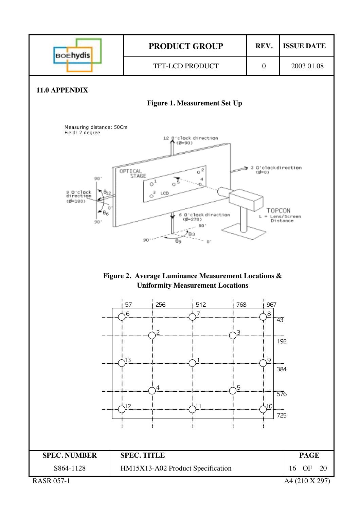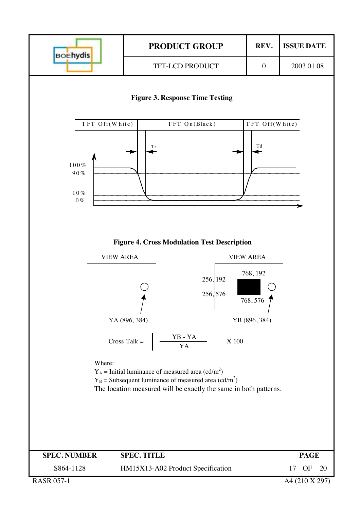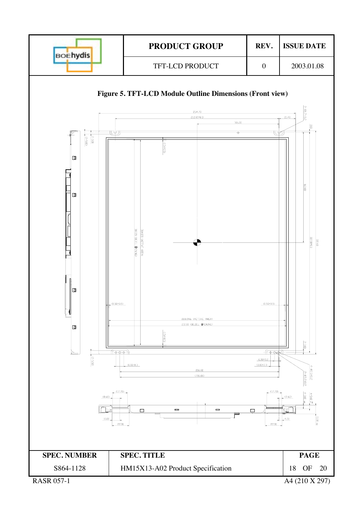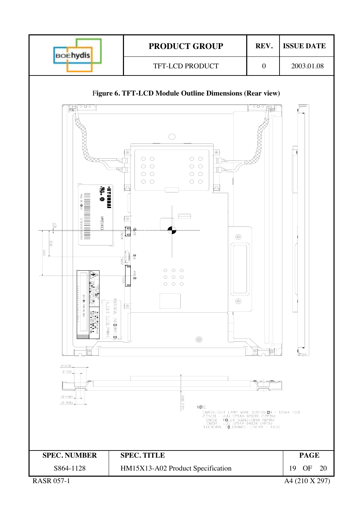